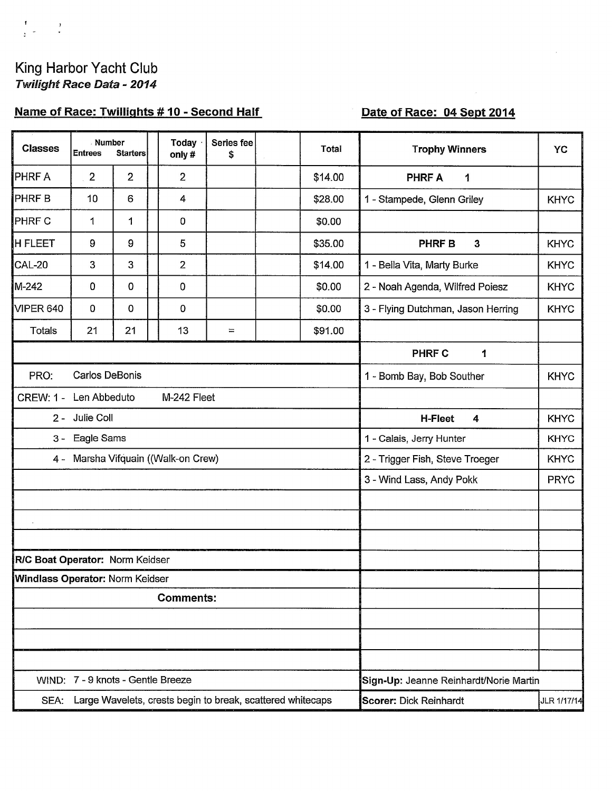$\begin{array}{ccccc} t & & & x \\ & & & t \\ z & \overline{z} & & & t \end{array}$ 

## Name of Race: Twillights #10 - Second Half

# Date of Race: 04 Sept 2014

| <b>Classes</b>                  | Number<br><b>Entrees</b>            | <b>Starters</b> | <b>Today</b><br>only# | Series fee<br>\$                                           | <b>Total</b> | <b>Trophy Winners</b>                        | YC          |  |  |  |  |  |  |
|---------------------------------|-------------------------------------|-----------------|-----------------------|------------------------------------------------------------|--------------|----------------------------------------------|-------------|--|--|--|--|--|--|
| PHRF A                          | $\overline{2}$                      | 2               | $\overline{2}$        |                                                            | \$14.00      | <b>PHRF A</b><br>1                           |             |  |  |  |  |  |  |
| PHRF B                          | 10                                  | 6               | $\overline{4}$        |                                                            | \$28.00      | 1 - Stampede, Glenn Griley                   | <b>KHYC</b> |  |  |  |  |  |  |
| PHRF C                          | 1                                   | 1               | 0                     |                                                            | \$0.00       |                                              |             |  |  |  |  |  |  |
| <b>H FLEET</b>                  | 9                                   | 9               | 5                     |                                                            | \$35.00      | PHRF B<br>$\mathbf{3}$                       | <b>KHYC</b> |  |  |  |  |  |  |
| <b>CAL-20</b>                   | 3                                   | 3               | $\overline{2}$        |                                                            | \$14.00      | 1 - Bella Vita, Marty Burke                  | <b>KHYC</b> |  |  |  |  |  |  |
| M-242                           | 0                                   | 0               | 0                     |                                                            | \$0.00       | 2 - Noah Agenda, Wilfred Poiesz              | <b>KHYC</b> |  |  |  |  |  |  |
| <b>VIPER 640</b>                | 0                                   | 0               | 0                     |                                                            | \$0.00       | 3 - Flying Dutchman, Jason Herring           | <b>KHYC</b> |  |  |  |  |  |  |
| <b>Totals</b>                   | 21                                  | 21              | 13                    | $\equiv$                                                   | \$91.00      |                                              |             |  |  |  |  |  |  |
|                                 |                                     |                 |                       |                                                            |              | <b>PHRF C</b><br>1                           |             |  |  |  |  |  |  |
| PRO:                            | <b>Carlos DeBonis</b>               |                 |                       | 1 - Bomb Bay, Bob Souther                                  | <b>KHYC</b>  |                                              |             |  |  |  |  |  |  |
| <b>CREW: 1 -</b>                | Len Abbeduto                        |                 | M-242 Fleet           |                                                            |              |                                              |             |  |  |  |  |  |  |
|                                 | 2 - Julie Coll                      |                 |                       | <b>H-Fleet</b><br>4                                        | <b>KHYC</b>  |                                              |             |  |  |  |  |  |  |
| $3 -$                           | Eagle Sams                          |                 |                       |                                                            |              | 1 - Calais, Jerry Hunter<br><b>KHYC</b>      |             |  |  |  |  |  |  |
|                                 | 4 - Marsha Vifquain ((Walk-on Crew) |                 |                       |                                                            |              | 2 - Trigger Fish, Steve Troeger              | <b>KHYC</b> |  |  |  |  |  |  |
|                                 |                                     |                 |                       |                                                            |              | 3 - Wind Lass, Andy Pokk                     | <b>PRYC</b> |  |  |  |  |  |  |
|                                 |                                     |                 |                       |                                                            |              |                                              |             |  |  |  |  |  |  |
|                                 |                                     |                 |                       |                                                            |              |                                              |             |  |  |  |  |  |  |
|                                 |                                     |                 |                       |                                                            |              |                                              |             |  |  |  |  |  |  |
| R/C Boat Operator: Norm Keidser |                                     |                 |                       |                                                            |              |                                              |             |  |  |  |  |  |  |
| Windlass Operator: Norm Keidser |                                     |                 |                       |                                                            |              |                                              |             |  |  |  |  |  |  |
|                                 |                                     |                 | <b>Comments:</b>      |                                                            |              |                                              |             |  |  |  |  |  |  |
|                                 |                                     |                 |                       |                                                            |              |                                              |             |  |  |  |  |  |  |
|                                 |                                     |                 |                       |                                                            |              |                                              |             |  |  |  |  |  |  |
|                                 | WIND: 7 - 9 knots - Gentle Breeze   |                 |                       | Sign-Up: Jeanne Reinhardt/Norie Martin                     |              |                                              |             |  |  |  |  |  |  |
| SEA:                            |                                     |                 |                       | Large Wavelets, crests begin to break, scattered whitecaps |              | <b>Scorer: Dick Reinhardt</b><br>JLR 1/17/14 |             |  |  |  |  |  |  |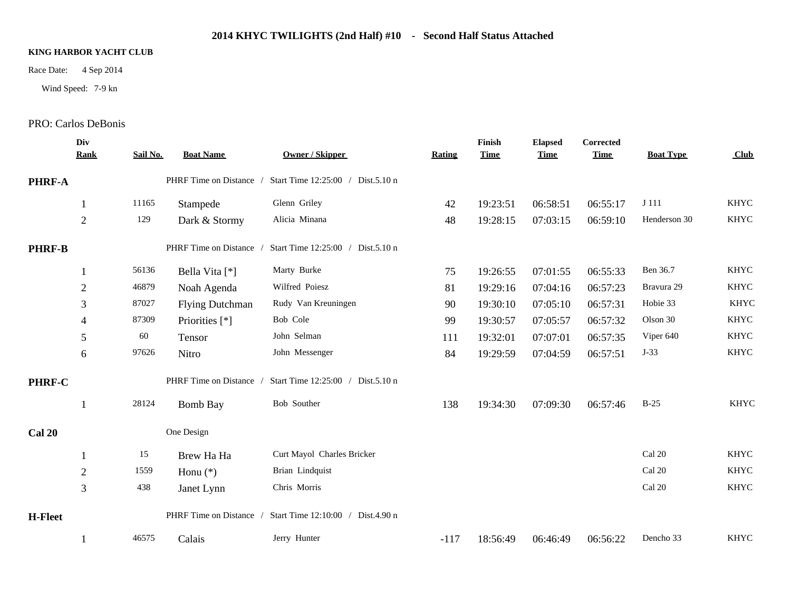## **2014 KHYC TWILIGHTS (2nd Half) #10 - Second Half Status Attached**

### **KING HARBOR YACHT CLUB**

Wind Speed: 7-9 kn

# Race Date: 4 Sep 2014<br>Wind Speed: 7-9 kn<br>PRO: Carlos DeBonis

|                | Div<br><b>Rank</b> | Sail No. | <b>Boat Name</b>        | <b>Owner / Skipper</b>            | Rating | Finish<br><b>Time</b> | <b>Elapsed</b><br><b>Time</b> | Corrected<br><b>Time</b> | <b>Boat Type</b> | Club        |
|----------------|--------------------|----------|-------------------------|-----------------------------------|--------|-----------------------|-------------------------------|--------------------------|------------------|-------------|
| <b>PHRF-A</b>  |                    |          | PHRF Time on Distance / | Start Time 12:25:00 / Dist.5.10 n |        |                       |                               |                          |                  |             |
|                |                    | 11165    | Stampede                | Glenn Griley                      | 42     | 19:23:51              | 06:58:51                      | 06:55:17                 | J 111            | <b>KHYC</b> |
|                | $\overline{2}$     | 129      | Dark & Stormy           | Alicia Minana                     | 48     | 19:28:15              | 07:03:15                      | 06:59:10                 | Henderson 30     | <b>KHYC</b> |
| <b>PHRF-B</b>  |                    |          | PHRF Time on Distance / | Start Time 12:25:00 / Dist.5.10 n |        |                       |                               |                          |                  |             |
|                |                    | 56136    | Bella Vita [*]          | Marty Burke                       | 75     | 19:26:55              | 07:01:55                      | 06:55:33                 | Ben 36.7         | <b>KHYC</b> |
|                | $\overline{2}$     | 46879    | Noah Agenda             | Wilfred Poiesz                    | 81     | 19:29:16              | 07:04:16                      | 06:57:23                 | Bravura 29       | <b>KHYC</b> |
|                | 3                  | 87027    | <b>Flying Dutchman</b>  | Rudy Van Kreuningen               | 90     | 19:30:10              | 07:05:10                      | 06:57:31                 | Hobie 33         | <b>KHYC</b> |
|                | 4                  | 87309    | Priorities [*]          | Bob Cole                          | 99     | 19:30:57              | 07:05:57                      | 06:57:32                 | Olson 30         | <b>KHYC</b> |
|                | 5                  | 60       | Tensor                  | John Selman                       | 111    | 19:32:01              | 07:07:01                      | 06:57:35                 | Viper 640        | <b>KHYC</b> |
|                | 6                  | 97626    | Nitro                   | John Messenger                    | 84     | 19:29:59              | 07:04:59                      | 06:57:51                 | $J-33$           | <b>KHYC</b> |
| PHRF-C         |                    |          | PHRF Time on Distance / | Start Time 12:25:00 / Dist.5.10 n |        |                       |                               |                          |                  |             |
|                |                    | 28124    | <b>Bomb Bay</b>         | Bob Souther                       | 138    | 19:34:30              | 07:09:30                      | 06:57:46                 | $B-25$           | <b>KHYC</b> |
| <b>Cal 20</b>  |                    |          | One Design              |                                   |        |                       |                               |                          |                  |             |
|                |                    | 15       | Brew Ha Ha              | Curt Mayol Charles Bricker        |        |                       |                               |                          | Cal 20           | <b>KHYC</b> |
|                | $\overline{2}$     | 1559     | Honu $(*)$              | Brian Lindquist                   |        |                       |                               |                          | Cal 20           | <b>KHYC</b> |
|                | 3                  | 438      | Janet Lynn              | Chris Morris                      |        |                       |                               |                          | Cal 20           | <b>KHYC</b> |
| <b>H-Fleet</b> |                    |          | PHRF Time on Distance / | Start Time 12:10:00 / Dist.4.90 n |        |                       |                               |                          |                  |             |
|                |                    | 46575    | Calais                  | Jerry Hunter                      | $-117$ | 18:56:49              | 06:46:49                      | 06:56:22                 | Dencho 33        | <b>KHYC</b> |
|                |                    |          |                         |                                   |        |                       |                               |                          |                  |             |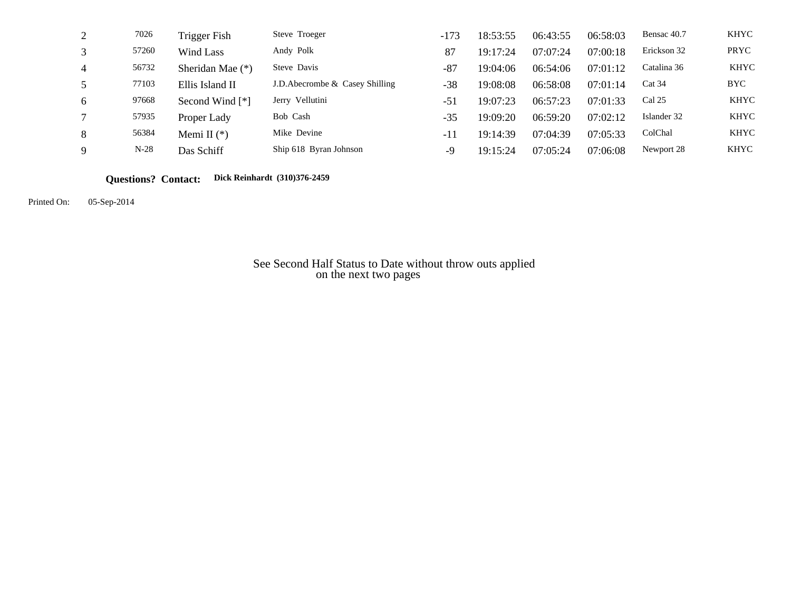| 2 | 7026   | Trigger Fish       | Steve Troeger                   | $-173$ | 18:53:55 | 06:43:55 | 06:58:03 | Bensac 40.7 | KHYC        |
|---|--------|--------------------|---------------------------------|--------|----------|----------|----------|-------------|-------------|
| 3 | 57260  | Wind Lass          | Andy Polk                       | 87     | 19:17:24 | 07:07:24 | 07:00:18 | Erickson 32 | PRYC        |
| 4 | 56732  | Sheridan Mae $(*)$ | Steve Davis                     | $-87$  | 19:04:06 | 06:54:06 | 07:01:12 | Catalina 36 | <b>KHYC</b> |
| 5 | 77103  | Ellis Island II    | J.D. Abecrombe & Casey Shilling | $-38$  | 19:08:08 | 06:58:08 | 07:01:14 | Cat 34      | <b>BYC</b>  |
| 6 | 97668  | Second Wind [*]    | Jerry Vellutini                 | $-51$  | 19:07:23 | 06:57:23 | 07:01:33 | Cal 25      | <b>KHYC</b> |
|   | 57935  | Proper Lady        | Bob Cash                        | $-35$  | 19:09:20 | 06:59:20 | 07:02:12 | Islander 32 | <b>KHYC</b> |
| 8 | 56384  | Memi II $(*)$      | Mike Devine                     | $-11$  | 19:14:39 | 07:04:39 | 07:05:33 | ColChal     | <b>KHYC</b> |
| 9 | $N-28$ | Das Schiff         | Ship 618 Byran Johnson          | -9     | 19:15:24 | 07:05:24 | 07:06:08 | Newport 28  | <b>KHYC</b> |

**Questions? Contact: Dick Reinhardt (310)376-2459**

Printed On: 05-Sep-2014

 See Second Half Status to Date without throw outs applied on the next two pages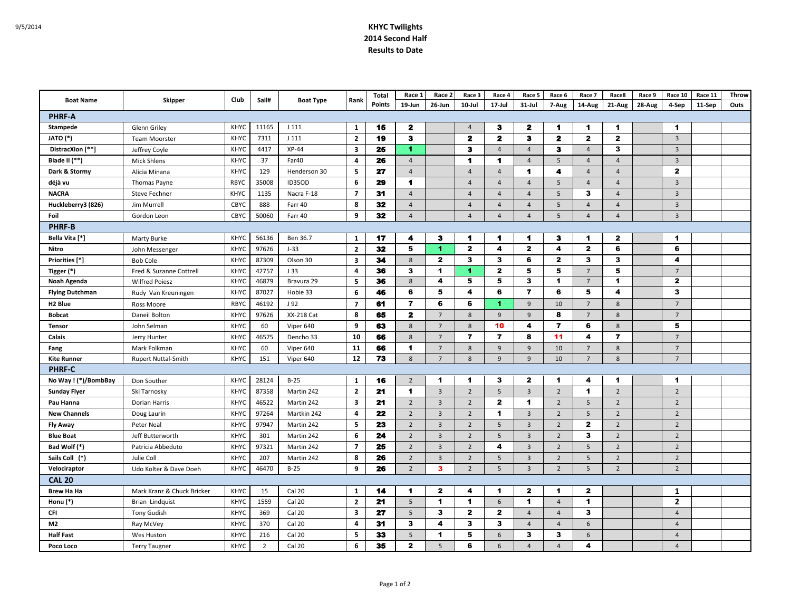#### 9/5/2014 **KHYC Twilights 2014 Second Half Results to Date**

| <b>Boat Name</b>       |                            |             | Sail#          | <b>Boat Type</b> | Rank                    | <b>Total</b> | Race 1         | Race 2                  | Race 3         | Race 4               | Race 5               | Race 6               | Race 7               | Race8                   | Race 9 | Race 10              | Race 11 | Throw |
|------------------------|----------------------------|-------------|----------------|------------------|-------------------------|--------------|----------------|-------------------------|----------------|----------------------|----------------------|----------------------|----------------------|-------------------------|--------|----------------------|---------|-------|
|                        | Skipper                    | Club        |                |                  |                         | Points       | 19-Jun         | 26-Jun                  | 10-Jul         | 17-Jul               | $31 -$ Jul           | 7-Aug                | 14-Aug               | 21-Aug                  | 28-Aug | 4-Sep                | 11-Sep  | Outs  |
| <b>PHRF-A</b>          |                            |             |                |                  |                         |              |                |                         |                |                      |                      |                      |                      |                         |        |                      |         |       |
| Stampede               | Glenn Griley               | KHYC        | 11165          | J111             | $\mathbf{1}$            | 15           | $\mathbf{2}$   |                         | $\overline{4}$ | з                    | 2                    | $\mathbf{1}$         | $\blacktriangleleft$ | $\blacktriangleleft$    |        | $\blacktriangleleft$ |         |       |
| JATO (*)               | <b>Team Moorster</b>       | <b>KHYC</b> | 7311           | J111             | $\overline{2}$          | 19           | $\mathbf{3}$   |                         | $\mathbf{z}$   | 2                    | з                    | $\mathbf{z}$         | $\mathbf{2}$         | $\mathbf{2}$            |        | $\overline{3}$       |         |       |
| DistracXion [**]       | Jeffrey Coyle              | <b>KHYC</b> | 4417           | $XP-44$          | 3                       | 25           | 1              |                         | 3              | $\overline{4}$       | $\overline{4}$       | з                    | $\overline{4}$       | 3                       |        | $\overline{3}$       |         |       |
| Blade II $(**)$        | <b>Mick Shlens</b>         | <b>KHYC</b> | 37             | Far40            | 4                       | 26           | $\overline{4}$ |                         | 1.             | -1                   | $\overline{4}$       | 5                    | $\overline{4}$       | $\overline{4}$          |        | $\overline{3}$       |         |       |
| Dark & Stormy          | Alicia Minana              | KHYC        | 129            | Henderson 30     | 5                       | 27           | $\overline{4}$ |                         | $\overline{4}$ | $\overline{4}$       | 1                    | 4                    | $\overline{A}$       | $\overline{4}$          |        | $\mathbf{2}$         |         |       |
| déjà vu                | Thomas Payne               | <b>RBYC</b> | 35008          | ID35OD           | 6                       | 29           | -1             |                         | $\overline{4}$ | $\overline{4}$       | $\overline{4}$       | 5                    | $\overline{4}$       | $\overline{4}$          |        | 3                    |         |       |
| <b>NACRA</b>           | <b>Steve Fechner</b>       | <b>KHYC</b> | 1135           | Nacra F-18       | $\overline{7}$          | 31           | $\overline{4}$ |                         | $\overline{4}$ | $\overline{4}$       | $\overline{4}$       | 5                    | 3                    | $\overline{4}$          |        | $\overline{3}$       |         |       |
| Huckleberry3 (826)     | Jim Murrell                | CBYC        | 888            | Farr 40          | 8                       | 32           | $\overline{4}$ |                         | $\overline{4}$ | $\overline{4}$       | $\overline{4}$       | 5                    | $\overline{4}$       | $\overline{4}$          |        | $\overline{3}$       |         |       |
| Foil                   | Gordon Leon                | CBYC        | 50060          | Farr 40          | 9                       | 32           | $\overline{4}$ |                         | $\overline{4}$ | $\overline{4}$       | $\overline{4}$       | 5                    | $\overline{4}$       | $\overline{4}$          |        | $\overline{3}$       |         |       |
| <b>PHRF-B</b>          |                            |             |                |                  |                         |              |                |                         |                |                      |                      |                      |                      |                         |        |                      |         |       |
| Bella Vita [*]         | Marty Burke                | <b>KHYC</b> | 56136          | Ben 36.7         | 1                       | 17           | 4              | з                       | 1              | -1                   | 1                    | з                    | 1                    | $\mathbf{z}$            |        | $\blacktriangleleft$ |         |       |
| Nitro                  | John Messenger             | <b>KHYC</b> | 97626          | $J-33$           | $\overline{2}$          | 32           | 5              | $\blacktriangleleft$    | $\mathbf{2}$   | 4                    | $\mathbf{2}$         | 4                    | $\mathbf{2}$         | 6                       |        | 6                    |         |       |
| Priorities [*]         | <b>Bob Cole</b>            | KHYC        | 87309          | Olson 30         | 3                       | 34           | $8\phantom{1}$ | $\mathbf{2}$            | 3              | 3                    | 6                    | $\mathbf{2}$         | 3                    | 3                       |        | 4                    |         |       |
| Tigger (*)             | Fred & Suzanne Cottrell    | KHYC        | 42757          | J 33             | 4                       | 36           | 3              | 1                       | 1              | $\mathbf{2}$         | 5                    | 5                    | $\overline{7}$       | 5                       |        | $\overline{7}$       |         |       |
| Noah Agenda            | <b>Wilfred Poiesz</b>      | KHYC        | 46879          | Bravura 29       | 5                       | 36           | 8              | 4                       | 5              | 5                    | 3                    | $\blacktriangleleft$ | 7                    | $\blacktriangleleft$    |        | $\mathbf{2}$         |         |       |
| <b>Flying Dutchman</b> | Rudy Van Kreuningen        | KHYC        | 87027          | Hobie 33         | 6                       | 46           | 6              | 5                       | 4              | 6                    | $\overline{7}$       | 6                    | 5                    | $\overline{\mathbf{4}}$ |        | 3                    |         |       |
| H <sub>2</sub> Blue    | Ross Moore                 | <b>RBYC</b> | 46192          | J 92             | $\overline{ }$          | 61           | $\overline{7}$ | 6                       | 6              | -1.                  | 9                    | 10                   | $\overline{7}$       | 8                       |        | $7\overline{ }$      |         |       |
| <b>Bobcat</b>          | Daneil Bolton              | <b>KHYC</b> | 97626          | XX-218 Cat       | 8                       | 65           | $\mathbf{z}$   | $7\overline{ }$         | 8              | 9                    | 9                    | 8                    | 7                    | 8                       |        | 7                    |         |       |
| <b>Tensor</b>          | John Selman                | <b>KHYC</b> | 60             | Viper 640        | 9                       | 63           | 8              | $7\overline{ }$         | 8              | 10                   | 4                    | $\overline{ }$       | 6                    | 8                       |        | 5                    |         |       |
| Calais                 | Jerry Hunter               | KHYC        | 46575          | Dencho 33        | 10                      | 66           | $8\phantom{1}$ | $\overline{7}$          | $\overline{ }$ | $\overline{7}$       | 8                    | 11                   | 4                    | $\overline{7}$          |        | $\overline{7}$       |         |       |
| Fang                   | Mark Folkman               | KHYC        | 60             | Viper 640        | 11                      | 66           | $\mathbf{1}$   | $\overline{7}$          | 8              | 9                    | 9                    | 10                   | $\overline{7}$       | 8                       |        | 7                    |         |       |
| <b>Kite Runner</b>     | <b>Rupert Nuttal-Smith</b> | KHYC        | 151            | Viper 640        | 12                      | 73           | 8              | $\overline{7}$          | 8              | 9                    | 9                    | 10                   | 7                    | 8                       |        | $\overline{7}$       |         |       |
| <b>PHRF-C</b>          |                            |             |                |                  |                         |              |                |                         |                |                      |                      |                      |                      |                         |        |                      |         |       |
| No Way ! (*)/BombBay   | Don Souther                | KHYC        | 28124          | $B-25$           | 1                       | 16           | $\overline{2}$ | 1                       | 1              | $\mathbf{3}$         | $\mathbf{2}$         | $\blacktriangleleft$ | 4                    | $\blacktriangleleft$    |        | $\blacktriangleleft$ |         |       |
| <b>Sunday Flyer</b>    | Ski Tarnosky               | <b>KHYC</b> | 87358          | Martin 242       | $\overline{2}$          | 21           | $\mathbf 1$    | $\overline{3}$          | $\overline{2}$ | 5                    | $\overline{3}$       | $\overline{2}$       | 1                    | $\overline{2}$          |        | $\overline{2}$       |         |       |
| Pau Hanna              | Dorian Harris              | <b>KHYC</b> | 46522          | Martin 242       | $\overline{\mathbf{3}}$ | 21           | $\overline{2}$ | $\overline{3}$          | $\overline{2}$ | $\mathbf{2}$         | 1                    | $\overline{2}$       | 5                    | $\overline{2}$          |        | $\overline{2}$       |         |       |
| <b>New Channels</b>    | Doug Laurin                | <b>KHYC</b> | 97264          | Martkin 242      | $\overline{\mathbf{a}}$ | 22           | $\overline{2}$ | $\overline{3}$          | $\overline{2}$ | $\blacktriangleleft$ | $\overline{3}$       | $\overline{2}$       | 5                    | $\overline{2}$          |        | $\overline{2}$       |         |       |
| <b>Fly Away</b>        | Peter Neal                 | KHYC        | 97947          | Martin 242       | -5                      | 23           | $\overline{2}$ | $\overline{3}$          | $\overline{2}$ | 5                    | $\overline{3}$       | $\overline{2}$       | $\mathbf{2}$         | $\overline{2}$          |        | $\overline{2}$       |         |       |
| <b>Blue Boat</b>       | Jeff Butterworth           | KHYC        | 301            | Martin 242       | 6                       | 24           | $\overline{2}$ | $\overline{3}$          | $\overline{2}$ | 5                    | $\overline{3}$       | $\overline{2}$       | 3                    | $\overline{2}$          |        | $\overline{2}$       |         |       |
| Bad Wolf (*)           | Patricia Abbeduto          | KHYC        | 97321          | Martin 242       | $\overline{7}$          | 25           | $\overline{2}$ | $\overline{3}$          | $\overline{2}$ | 4                    | $\overline{3}$       | $\overline{2}$       | 5                    | $\overline{2}$          |        | $\overline{2}$       |         |       |
| Sails Coll (*)         | Julie Coll                 | KHYC        | 207            | Martin 242       | 8                       | 26           | $\overline{2}$ | $\overline{3}$          | $\overline{2}$ | $5\phantom{.0}$      | $\overline{3}$       | $\overline{2}$       | 5                    | $\overline{2}$          |        | $\overline{2}$       |         |       |
| Velociraptor           | Udo Kolter & Dave Doeh     | KHYC        | 46470          | $B-25$           | 9                       | 26           | $\overline{2}$ | 3                       | $\overline{2}$ | 5                    | $\overline{3}$       | $\overline{2}$       | 5                    | $\overline{2}$          |        | $\overline{2}$       |         |       |
| <b>CAL 20</b>          |                            |             |                |                  |                         |              |                |                         |                |                      |                      |                      |                      |                         |        |                      |         |       |
| <b>Brew Ha Ha</b>      | Mark Kranz & Chuck Bricker | KHYC        | 15             | Cal 20           | 1                       | 14           | $\mathbf 1$    | $\mathbf{2}$            | 4              | $\mathbf 1$          | $\mathbf{2}$         | $\mathbf 1$          | $\mathbf{2}$         |                         |        | 1                    |         |       |
| Honu (*)               | Brian Lindquist            | KHYC        | 1559           | Cal 20           | $\overline{2}$          | 21           | 5              | 1                       | $\mathbf{1}$   | 6                    | $\blacktriangleleft$ | $\overline{4}$       | 1                    |                         |        | $\overline{2}$       |         |       |
| CFI                    | <b>Tony Gudish</b>         | KHYC        | 369            | Cal 20           | $\overline{\mathbf{3}}$ | 27           | 5              | 3                       | $\mathbf{2}$   | $\mathbf{2}$         | 4                    | $\overline{4}$       | 3                    |                         |        | $\overline{4}$       |         |       |
| M2                     | Ray McVey                  | <b>KHYC</b> | 370            | Cal 20           | $\overline{4}$          | 31           | 3              | $\overline{\mathbf{4}}$ | 3              | $\mathbf{3}$         | $\overline{4}$       | $\overline{4}$       | 6                    |                         |        | $\overline{4}$       |         |       |
| <b>Half Fast</b>       | Wes Huston                 | KHYC        | 216            | Cal 20           | 5                       | 33           | 5              | 1                       | 5              | 6                    | 3                    | 3                    | 6                    |                         |        | $\overline{4}$       |         |       |
| Poco Loco              | <b>Terry Taugner</b>       | KHYC        | $\overline{2}$ | Cal 20           | 6                       | 35           | $\mathbf{2}$   | 5                       | 6              | 6                    | $\overline{4}$       | $\overline{4}$       | 4                    |                         |        | $\overline{4}$       |         |       |